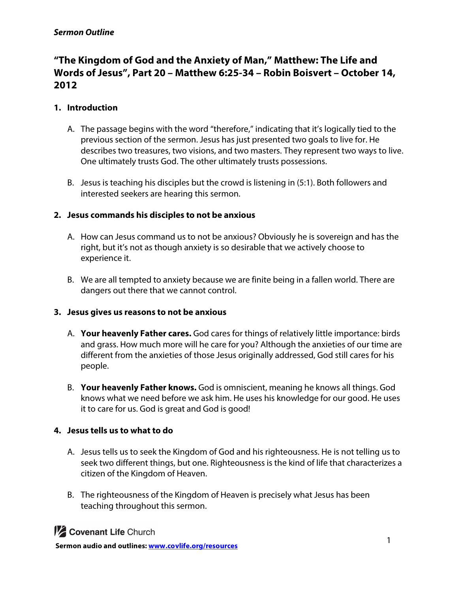## *Sermon Outline*

# **"The Kingdom of God and the Anxiety of Man," Matthew: The Life and Words of Jesus", Part 20 – Matthew 6:25-34 – Robin Boisvert – October 14, 2012**

## **1. Introduction**

- A. The passage begins with the word "therefore," indicating that it's logically tied to the previous section of the sermon. Jesus has just presented two goals to live for. He describes two treasures, two visions, and two masters. They represent two ways to live. One ultimately trusts God. The other ultimately trusts possessions.
- B. Jesus is teaching his disciples but the crowd is listening in (5:1). Both followers and interested seekers are hearing this sermon.

## **2. Jesus commands his disciples to not be anxious**

- A. How can Jesus command us to not be anxious? Obviously he is sovereign and has the right, but it's not as though anxiety is so desirable that we actively choose to experience it.
- B. We are all tempted to anxiety because we are finite being in a fallen world. There are dangers out there that we cannot control.

### **3. Jesus gives us reasons to not be anxious**

- A. **Your heavenly Father cares.** God cares for things of relatively little importance: birds and grass. How much more will he care for you? Although the anxieties of our time are different from the anxieties of those Jesus originally addressed, God still cares for his people.
- B. **Your heavenly Father knows.** God is omniscient, meaning he knows all things. God knows what we need before we ask him. He uses his knowledge for our good. He uses it to care for us. God is great and God is good!

### **4. Jesus tells us to what to do**

- A. Jesus tells us to seek the Kingdom of God and his righteousness. He is not telling us to seek two different things, but one. Righteousness is the kind of life that characterizes a citizen of the Kingdom of Heaven.
- B. The righteousness of the Kingdom of Heaven is precisely what Jesus has been teaching throughout this sermon.

**1/2 Covenant Life Church**<br> **1** Sermon audio and outlines: www.covlife.org/resources